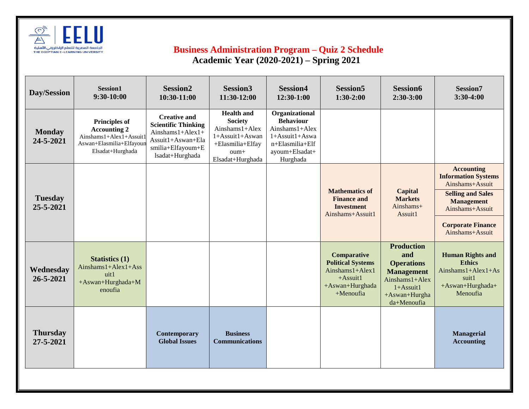

## **Business Administration Program – Quiz 2 Schedule**

 **Academic Year (2020-2021) – Spring 2021** 

| Day/Session                  | Session1<br>$9:30-10:00$                                                                                               | <b>Session2</b><br>10:30-11:00                                                                                                       | <b>Session3</b><br>11:30-12:00                                                                                           | <b>Session4</b><br>12:30-1:00                                                                                                  | <b>Session5</b><br>$1:30-2:00$                                                                            | <b>Session6</b><br>$2:30-3:00$                                                                                                                 | <b>Session7</b><br>$3:30-4:00$                                                                                                                                                        |
|------------------------------|------------------------------------------------------------------------------------------------------------------------|--------------------------------------------------------------------------------------------------------------------------------------|--------------------------------------------------------------------------------------------------------------------------|--------------------------------------------------------------------------------------------------------------------------------|-----------------------------------------------------------------------------------------------------------|------------------------------------------------------------------------------------------------------------------------------------------------|---------------------------------------------------------------------------------------------------------------------------------------------------------------------------------------|
| <b>Monday</b><br>24-5-2021   | <b>Principles of</b><br><b>Accounting 2</b><br>Ainshams1+Alex1+Assuit1<br>Aswan+Elasmilia+Elfayoun<br>Elsadat+Hurghada | <b>Creative and</b><br><b>Scientific Thinking</b><br>$Ainshams1+Alex1+$<br>Assuit1+Aswan+Ela<br>smilia+Elfayoum+E<br>lsadat+Hurghada | <b>Health and</b><br><b>Society</b><br>Ainshams1+Alex<br>1+Assuit1+Aswan<br>+Elasmilia+Elfay<br>oum+<br>Elsadat+Hurghada | Organizational<br><b>Behaviour</b><br>$A$ inshams $1+A$ lex<br>1+Assuit1+Aswa<br>n+Elasmilia+Elf<br>ayoum+Elsadat+<br>Hurghada |                                                                                                           |                                                                                                                                                |                                                                                                                                                                                       |
| <b>Tuesday</b><br>25-5-2021  |                                                                                                                        |                                                                                                                                      |                                                                                                                          |                                                                                                                                | <b>Mathematics of</b><br><b>Finance and</b><br><b>Investment</b><br>Ainshams+Assuit1                      | <b>Capital</b><br><b>Markets</b><br>Ainshams+<br>Assuit1                                                                                       | <b>Accounting</b><br><b>Information Systems</b><br>Ainshams+Assuit<br><b>Selling and Sales</b><br><b>Management</b><br>Ainshams+Assuit<br><b>Corporate Finance</b><br>Ainshams+Assuit |
| Wednesday<br>26-5-2021       | <b>Statistics (1)</b><br>$Ainshams1+Alex1+Ass$<br>uit1<br>+Aswan+Hurghada+M<br>enoufia                                 |                                                                                                                                      |                                                                                                                          |                                                                                                                                | Comparative<br><b>Political Systems</b><br>Ainshams1+Alex1<br>$+$ Assuit1<br>+Aswan+Hurghada<br>+Menoufia | <b>Production</b><br>and<br><b>Operations</b><br><b>Management</b><br>$A$ inshams $1+A$ lex<br>$1+A$ ssuit $1$<br>+Aswan+Hurgha<br>da+Menoufia | <b>Human Rights and</b><br><b>Ethics</b><br>Ainshams $1+Alex1+As$<br>suit1<br>+Aswan+Hurghada+<br>Menoufia                                                                            |
| <b>Thursday</b><br>27-5-2021 |                                                                                                                        | Contemporary<br><b>Global Issues</b>                                                                                                 | <b>Business</b><br><b>Communications</b>                                                                                 |                                                                                                                                |                                                                                                           |                                                                                                                                                | <b>Managerial</b><br><b>Accounting</b>                                                                                                                                                |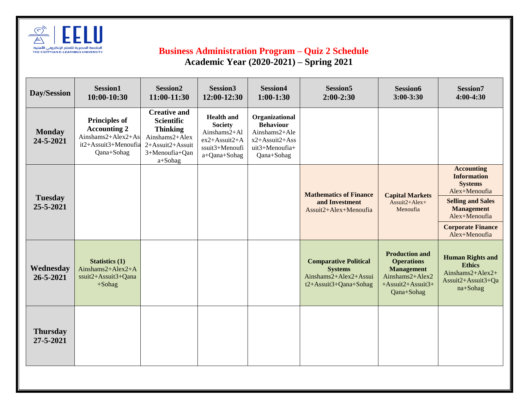

## **Business Administration Program – Quiz 2 Schedule Academic Year (2020-2021) – Spring 2021**

| Day/Session                  | Session1<br>$10:00-10:30$                                                                               | Session <sub>2</sub><br>11:00-11:30                                                                                            | <b>Session3</b><br>12:00-12:30                                                                           | <b>Session4</b><br>$1:00-1:30$                                                                        | <b>Session5</b><br>$2:00-2:30$                                                                   | Session6<br>$3:00 - 3:30$                                                                                                | Session7<br>$4:00-4:30$                                                                                                                                                                   |
|------------------------------|---------------------------------------------------------------------------------------------------------|--------------------------------------------------------------------------------------------------------------------------------|----------------------------------------------------------------------------------------------------------|-------------------------------------------------------------------------------------------------------|--------------------------------------------------------------------------------------------------|--------------------------------------------------------------------------------------------------------------------------|-------------------------------------------------------------------------------------------------------------------------------------------------------------------------------------------|
| <b>Monday</b><br>24-5-2021   | <b>Principles of</b><br><b>Accounting 2</b><br>Ainshams2+Alex2+As<br>it2+Assuit3+Menoufia<br>Qana+Sohag | <b>Creative and</b><br><b>Scientific</b><br><b>Thinking</b><br>Ainshams2+Alex<br>2+Assuit2+Assuit<br>3+Menoufia+Qan<br>a+Sohag | <b>Health and</b><br><b>Society</b><br>Ainshams2+Al<br>$ex2+Assuit2+A$<br>ssuit3+Menoufi<br>a+Qana+Sohag | Organizational<br><b>Behaviour</b><br>Ainshams2+Ale<br>x2+Assuit2+Ass<br>uit3+Menoufia+<br>Qana+Sohag |                                                                                                  |                                                                                                                          |                                                                                                                                                                                           |
| <b>Tuesday</b><br>25-5-2021  |                                                                                                         |                                                                                                                                |                                                                                                          |                                                                                                       | <b>Mathematics of Finance</b><br>and Investment<br>Assuit2+Alex+Menoufia                         | <b>Capital Markets</b><br>$Assuit2+Alex+$<br>Menoufia                                                                    | <b>Accounting</b><br><b>Information</b><br><b>Systems</b><br>Alex+Menoufia<br><b>Selling and Sales</b><br><b>Management</b><br>Alex+Menoufia<br><b>Corporate Finance</b><br>Alex+Menoufia |
| Wednesday<br>26-5-2021       | <b>Statistics (1)</b><br>Ainshams2+Alex2+A<br>ssuit2+Assuit3+Qana<br>$+$ Sohag                          |                                                                                                                                |                                                                                                          |                                                                                                       | <b>Comparative Political</b><br><b>Systems</b><br>Ainshams2+Alex2+Assui<br>t2+Assuit3+Qana+Sohag | <b>Production and</b><br><b>Operations</b><br><b>Management</b><br>Ainshams2+Alex2<br>$+$ Assuit2+Assuit3+<br>Qana+Sohag | <b>Human Rights and</b><br><b>Ethics</b><br>Ainshams2+Alex2+<br>Assuit2+Assuit3+Qa<br>na+Sohag                                                                                            |
| <b>Thursday</b><br>27-5-2021 |                                                                                                         |                                                                                                                                |                                                                                                          |                                                                                                       |                                                                                                  |                                                                                                                          |                                                                                                                                                                                           |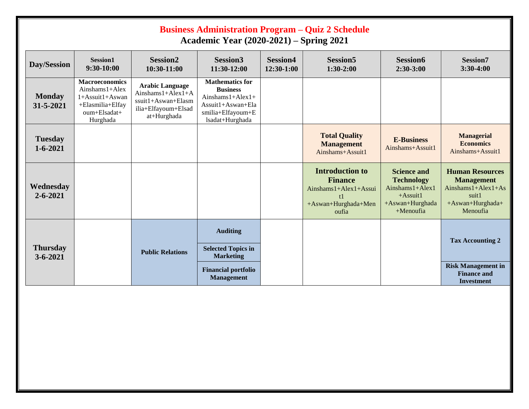| <b>Business Administration Program – Quiz 2 Schedule</b><br><b>Academic Year (2020-2021) – Spring 2021</b> |                                                                                                                     |                                                                                                            |                                                                                                                                |                               |                                                                                                   |                                                                                                                        |                                                                                                              |  |
|------------------------------------------------------------------------------------------------------------|---------------------------------------------------------------------------------------------------------------------|------------------------------------------------------------------------------------------------------------|--------------------------------------------------------------------------------------------------------------------------------|-------------------------------|---------------------------------------------------------------------------------------------------|------------------------------------------------------------------------------------------------------------------------|--------------------------------------------------------------------------------------------------------------|--|
| Day/Session                                                                                                | <b>Session1</b><br>$9:30-10:00$                                                                                     | <b>Session2</b><br>10:30-11:00                                                                             | <b>Session3</b><br>11:30-12:00                                                                                                 | <b>Session4</b><br>12:30-1:00 | <b>Session5</b><br>$1:30-2:00$                                                                    | <b>Session6</b><br>$2:30-3:00$                                                                                         | <b>Session7</b><br>$3:30-4:00$                                                                               |  |
| <b>Monday</b><br>31-5-2021                                                                                 | <b>Macroeconomics</b><br>$A$ inshams $1+A$ lex<br>1+Assuit1+Aswan<br>+Elasmilia+Elfay<br>$oum+Elsadat+$<br>Hurghada | <b>Arabic Language</b><br>Ainshams $1+Alex1+A$<br>ssuit1+Aswan+Elasm<br>ilia+Elfayoum+Elsad<br>at+Hurghada | <b>Mathematics for</b><br><b>Business</b><br>$Ainshams1+Alex1+$<br>$Assuit1+Aswan+Ela$<br>smilia+Elfayoum+E<br>lsadat+Hurghada |                               |                                                                                                   |                                                                                                                        |                                                                                                              |  |
| <b>Tuesday</b><br>$1 - 6 - 2021$                                                                           |                                                                                                                     |                                                                                                            |                                                                                                                                |                               | <b>Total Quality</b><br><b>Management</b><br>Ainshams+Assuit1                                     | <b>E-Business</b><br>Ainshams+Assuit1                                                                                  | <b>Managerial</b><br><b>Economics</b><br>Ainshams+Assuit1                                                    |  |
| Wednesday<br>$2 - 6 - 2021$                                                                                |                                                                                                                     |                                                                                                            |                                                                                                                                |                               | <b>Introduction to</b><br><b>Finance</b><br>Ainshams1+Alex1+Assui<br>+Aswan+Hurghada+Men<br>oufia | <b>Science and</b><br><b>Technology</b><br>$A$ inshams $1+A$ lex $1$<br>$+$ Assuit1<br>+Aswan+Hurghada<br>$+$ Menoufia | <b>Human Resources</b><br><b>Management</b><br>$Ainshams1+Alex1+As$<br>suit1<br>+Aswan+Hurghada+<br>Menoufia |  |
| <b>Thursday</b><br>$3 - 6 - 2021$                                                                          |                                                                                                                     | <b>Public Relations</b>                                                                                    | <b>Auditing</b><br><b>Selected Topics in</b><br><b>Marketing</b>                                                               |                               |                                                                                                   |                                                                                                                        | <b>Tax Accounting 2</b>                                                                                      |  |
|                                                                                                            |                                                                                                                     |                                                                                                            | <b>Financial portfolio</b><br><b>Management</b>                                                                                |                               |                                                                                                   |                                                                                                                        | <b>Risk Management in</b><br><b>Finance and</b><br><b>Investment</b>                                         |  |